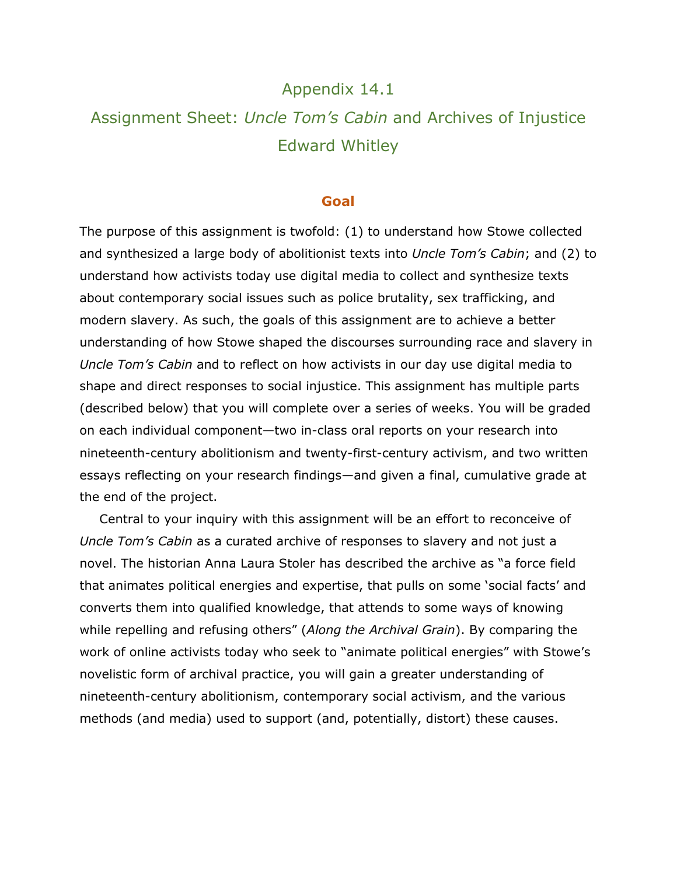## Appendix 14.1

# Assignment Sheet: *Uncle Tom's Cabin* and Archives of Injustice Edward Whitley

#### **Goal**

The purpose of this assignment is twofold: (1) to understand how Stowe collected and synthesized a large body of abolitionist texts into *Uncle Tom's Cabin*; and (2) to understand how activists today use digital media to collect and synthesize texts about contemporary social issues such as police brutality, sex trafficking, and modern slavery. As such, the goals of this assignment are to achieve a better understanding of how Stowe shaped the discourses surrounding race and slavery in *Uncle Tom's Cabin* and to reflect on how activists in our day use digital media to shape and direct responses to social injustice. This assignment has multiple parts (described below) that you will complete over a series of weeks. You will be graded on each individual component—two in-class oral reports on your research into nineteenth-century abolitionism and twenty-first-century activism, and two written essays reflecting on your research findings—and given a final, cumulative grade at the end of the project.

Central to your inquiry with this assignment will be an effort to reconceive of *Uncle Tom's Cabin* as a curated archive of responses to slavery and not just a novel. The historian Anna Laura Stoler has described the archive as "a force field that animates political energies and expertise, that pulls on some 'social facts' and converts them into qualified knowledge, that attends to some ways of knowing while repelling and refusing others" (*Along the Archival Grain*). By comparing the work of online activists today who seek to "animate political energies" with Stowe's novelistic form of archival practice, you will gain a greater understanding of nineteenth-century abolitionism, contemporary social activism, and the various methods (and media) used to support (and, potentially, distort) these causes.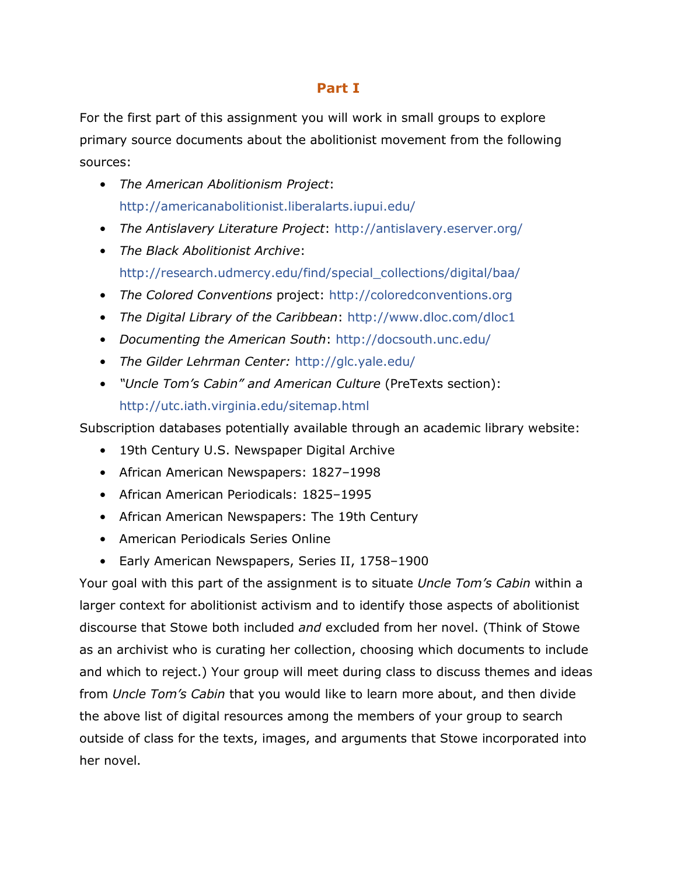### **Part I**

For the first part of this assignment you will work in small groups to explore primary source documents about the abolitionist movement from the following sources:

- *The American Abolitionism Project*: <http://americanabolitionist.liberalarts.iupui.edu/>
- *The Antislavery Literature Project*:<http://antislavery.eserver.org/>
- *The Black Abolitionist Archive*: [http://research.udmercy.edu/find/special\\_collections/digital/baa/](http://research.udmercy.edu/find/special_collections/digital/baa/)
- *The Colored Conventions* project: [http://coloredconventions.org](http://coloredconventions.org/)
- *The Digital Library of the Caribbean*:<http://www.dloc.com/dloc1>
- *Documenting the American South*:<http://docsouth.unc.edu/>
- *The Gilder Lehrman Center:* <http://glc.yale.edu/>
- *"Uncle Tom's Cabin" and American Culture* (PreTexts section): <http://utc.iath.virginia.edu/sitemap.html>

Subscription databases potentially available through an academic library website:

- 19th Century U.S. Newspaper Digital Archive
- African American Newspapers: 1827–1998
- African American Periodicals: 1825–1995
- African American Newspapers: The 19th Century
- American Periodicals Series Online
- Early American Newspapers, Series II, 1758–1900

Your goal with this part of the assignment is to situate *Uncle Tom's Cabin* within a larger context for abolitionist activism and to identify those aspects of abolitionist discourse that Stowe both included *and* excluded from her novel. (Think of Stowe as an archivist who is curating her collection, choosing which documents to include and which to reject.) Your group will meet during class to discuss themes and ideas from *Uncle Tom's Cabin* that you would like to learn more about, and then divide the above list of digital resources among the members of your group to search outside of class for the texts, images, and arguments that Stowe incorporated into her novel.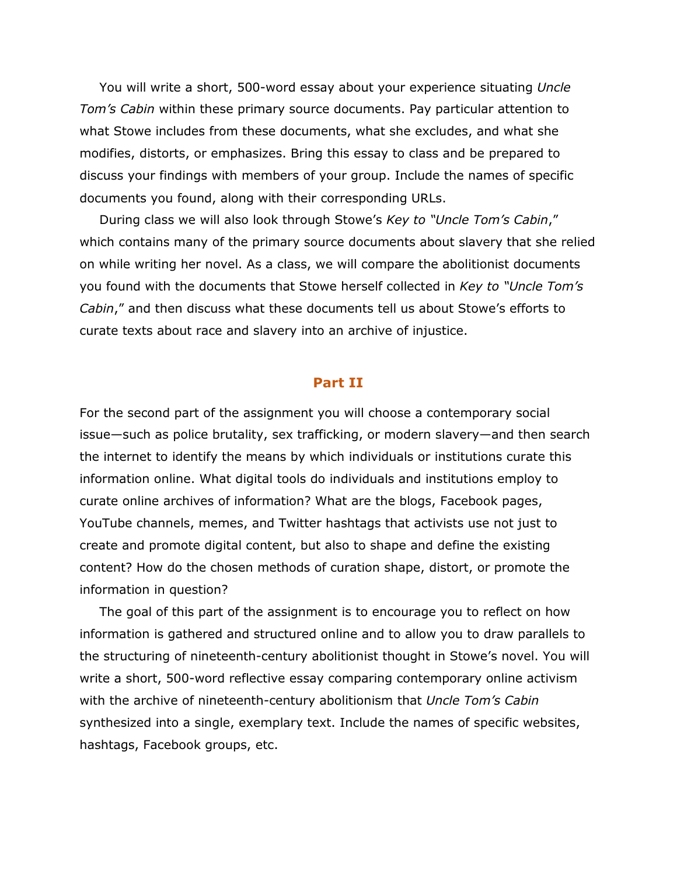You will write a short, 500-word essay about your experience situating *Uncle Tom's Cabin* within these primary source documents. Pay particular attention to what Stowe includes from these documents, what she excludes, and what she modifies, distorts, or emphasizes. Bring this essay to class and be prepared to discuss your findings with members of your group. Include the names of specific documents you found, along with their corresponding URLs.

During class we will also look through Stowe's *Key to "Uncle Tom's Cabin*," which contains many of the primary source documents about slavery that she relied on while writing her novel. As a class, we will compare the abolitionist documents you found with the documents that Stowe herself collected in *Key to "Uncle Tom's Cabin*," and then discuss what these documents tell us about Stowe's efforts to curate texts about race and slavery into an archive of injustice.

#### **Part II**

For the second part of the assignment you will choose a contemporary social issue—such as police brutality, sex trafficking, or modern slavery—and then search the internet to identify the means by which individuals or institutions curate this information online. What digital tools do individuals and institutions employ to curate online archives of information? What are the blogs, Facebook pages, YouTube channels, memes, and Twitter hashtags that activists use not just to create and promote digital content, but also to shape and define the existing content? How do the chosen methods of curation shape, distort, or promote the information in question?

The goal of this part of the assignment is to encourage you to reflect on how information is gathered and structured online and to allow you to draw parallels to the structuring of nineteenth-century abolitionist thought in Stowe's novel. You will write a short, 500-word reflective essay comparing contemporary online activism with the archive of nineteenth-century abolitionism that *Uncle Tom's Cabin* synthesized into a single, exemplary text. Include the names of specific websites, hashtags, Facebook groups, etc.